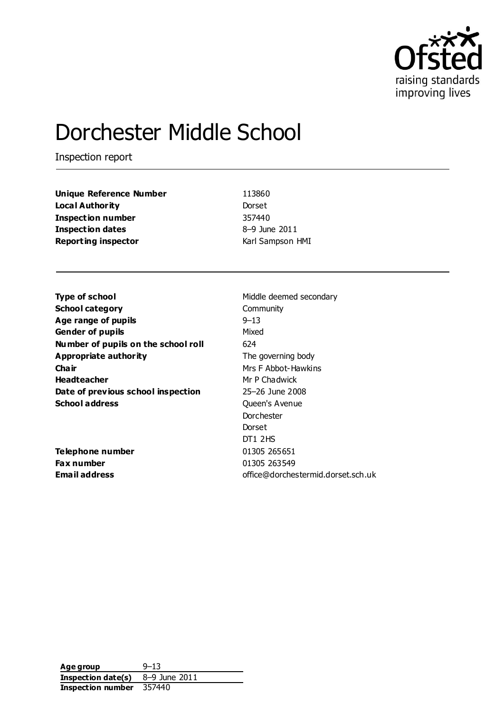

# Dorchester Middle School

Inspection report

| <b>Unique Reference Number</b> |
|--------------------------------|
| Local Authority                |
| <b>Inspection number</b>       |
| <b>Inspection dates</b>        |
| <b>Reporting inspector</b>     |

**Unique Reference Number** 113860 Dorset **Inspection number** 357440 **Inspection dates** 8–9 June 2011 **Karl Sampson HMI** 

**Type of school** Middle deemed secondary **School category** Community **Age range of pupils** 9–13 **Gender of pupils** Mixed **Number of pupils on the school roll** 624 **Appropriate authority** The governing body **Chair** Mrs F Abbot-Hawkins **Headteacher** Mr P Chadwick **Date of previous school inspection** 25-26 June 2008 **School address** Queen's Avenue

**Telephone number** 01305 265651 **Fax number** 01305 263549

Dorchester Dorset DT1 2HS **Email address** office@dorchestermid.dorset.sch.uk

| Age group          | $9 - 13$      |
|--------------------|---------------|
| Inspection date(s) | 8–9 June 2011 |
| Inspection number  | 357440        |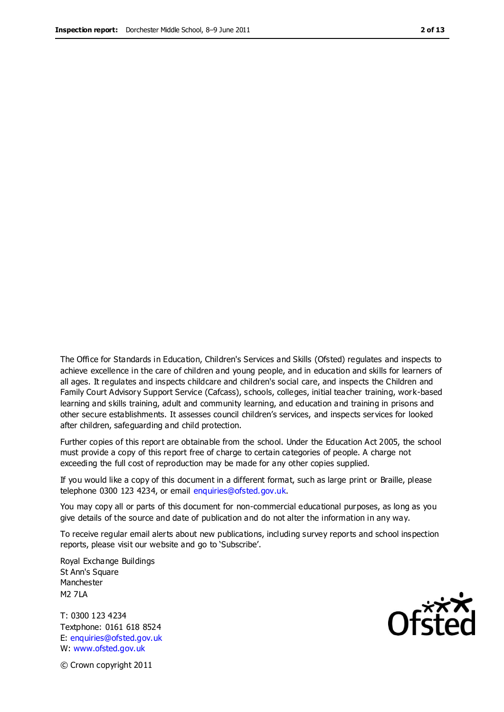The Office for Standards in Education, Children's Services and Skills (Ofsted) regulates and inspects to achieve excellence in the care of children and young people, and in education and skills for learners of all ages. It regulates and inspects childcare and children's social care, and inspects the Children and Family Court Advisory Support Service (Cafcass), schools, colleges, initial teacher training, work-based learning and skills training, adult and community learning, and education and training in prisons and other secure establishments. It assesses council children's services, and inspects services for looked after children, safeguarding and child protection.

Further copies of this report are obtainable from the school. Under the Education Act 2005, the school must provide a copy of this report free of charge to certain categories of people. A charge not exceeding the full cost of reproduction may be made for any other copies supplied.

If you would like a copy of this document in a different format, such as large print or Braille, please telephone 0300 123 4234, or email enquiries@ofsted.gov.uk.

You may copy all or parts of this document for non-commercial educational purposes, as long as you give details of the source and date of publication and do not alter the information in any way.

To receive regular email alerts about new publications, including survey reports and school inspection reports, please visit our website and go to 'Subscribe'.

Royal Exchange Buildings St Ann's Square Manchester M2 7LA

T: 0300 123 4234 Textphone: 0161 618 8524 E: enquiries@ofsted.gov.uk W: www.ofsted.gov.uk

Ofsted

© Crown copyright 2011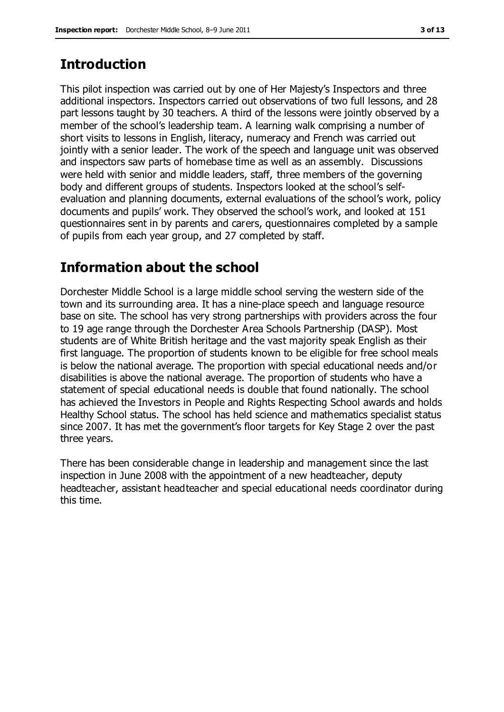## **Introduction**

This pilot inspection was carried out by one of Her Majesty's Inspectors and three additional inspectors. Inspectors carried out observations of two full lessons, and 28 part lessons taught by 30 teachers. A third of the lessons were jointly observed by a member of the school's leadership team. A learning walk comprising a number of short visits to lessons in English, literacy, numeracy and French was carried out jointly with a senior leader. The work of the speech and language unit was observed and inspectors saw parts of homebase time as well as an assembly. Discussions were held with senior and middle leaders, staff, three members of the governing body and different groups of students. Inspectors looked at the school's selfevaluation and planning documents, external evaluations of the school's work, policy documents and pupils' work. They observed the school's work, and looked at 151 questionnaires sent in by parents and carers, questionnaires completed by a sample of pupils from each year group, and 27 completed by staff.

# **Information about the school**

Dorchester Middle School is a large middle school serving the western side of the town and its surrounding area. It has a nine-place speech and language resource base on site. The school has very strong partnerships with providers across the four to 19 age range through the Dorchester Area Schools Partnership (DASP). Most students are of White British heritage and the vast majority speak English as their first language. The proportion of students known to be eligible for free school meals is below the national average. The proportion with special educational needs and/or disabilities is above the national average. The proportion of students who have a statement of special educational needs is double that found nationally. The school has achieved the Investors in People and Rights Respecting School awards and holds Healthy School status. The school has held science and mathematics specialist status since 2007. It has met the government's floor targets for Key Stage 2 over the past three years.

There has been considerable change in leadership and management since the last inspection in June 2008 with the appointment of a new headteacher, deputy headteacher, assistant headteacher and special educational needs coordinator during this time.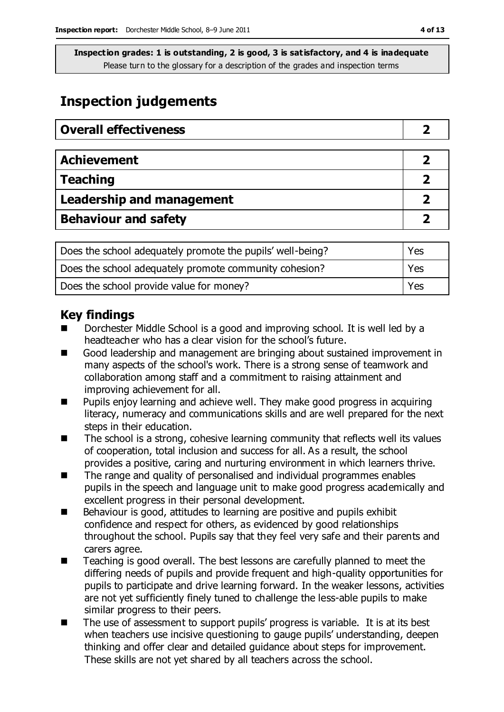# **Inspection judgements**

| <b>Overall effectiveness</b>     |  |
|----------------------------------|--|
|                                  |  |
| <b>Achievement</b>               |  |
| <b>Teaching</b>                  |  |
| <b>Leadership and management</b> |  |
| <b>Behaviour and safety</b>      |  |

| Does the school adequately promote the pupils' well-being? | Yes   |
|------------------------------------------------------------|-------|
| Does the school adequately promote community cohesion?     | Yes   |
| Does the school provide value for money?                   | l Yes |

## **Key findings**

- Dorchester Middle School is a good and improving school. It is well led by a headteacher who has a clear vision for the school's future.
- Good leadership and management are bringing about sustained improvement in many aspects of the school's work. There is a strong sense of teamwork and collaboration among staff and a commitment to raising attainment and improving achievement for all.
- Pupils enjoy learning and achieve well. They make good progress in acquiring literacy, numeracy and communications skills and are well prepared for the next steps in their education.
- $\blacksquare$  The school is a strong, cohesive learning community that reflects well its values of cooperation, total inclusion and success for all. As a result, the school provides a positive, caring and nurturing environment in which learners thrive.
- The range and quality of personalised and individual programmes enables pupils in the speech and language unit to make good progress academically and excellent progress in their personal development.
- Behaviour is good, attitudes to learning are positive and pupils exhibit confidence and respect for others, as evidenced by good relationships throughout the school. Pupils say that they feel very safe and their parents and carers agree.
- Teaching is good overall. The best lessons are carefully planned to meet the differing needs of pupils and provide frequent and high-quality opportunities for pupils to participate and drive learning forward. In the weaker lessons, activities are not yet sufficiently finely tuned to challenge the less-able pupils to make similar progress to their peers.
- The use of assessment to support pupils' progress is variable. It is at its best when teachers use incisive questioning to gauge pupils' understanding, deepen thinking and offer clear and detailed guidance about steps for improvement. These skills are not yet shared by all teachers across the school.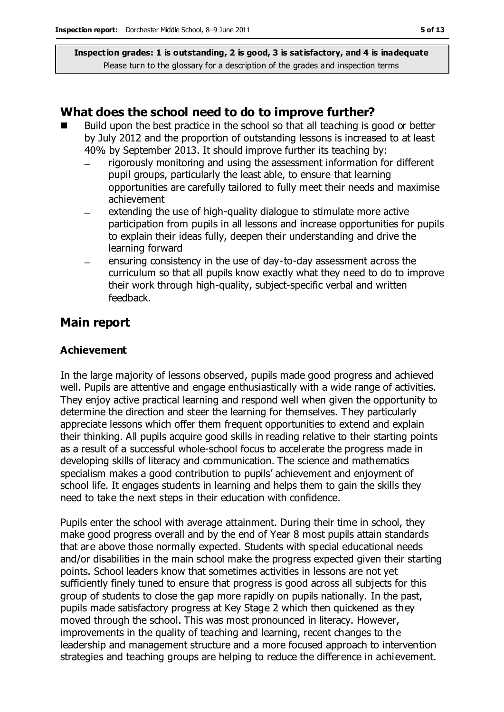#### **What does the school need to do to improve further?**

- Build upon the best practice in the school so that all teaching is good or better by July 2012 and the proportion of outstanding lessons is increased to at least 40% by September 2013. It should improve further its teaching by:
	- rigorously monitoring and using the assessment information for different  $\equiv$ pupil groups, particularly the least able, to ensure that learning opportunities are carefully tailored to fully meet their needs and maximise achievement
	- extending the use of high-quality dialogue to stimulate more active participation from pupils in all lessons and increase opportunities for pupils to explain their ideas fully, deepen their understanding and drive the learning forward
	- ensuring consistency in the use of day-to-day assessment across the curriculum so that all pupils know exactly what they need to do to improve their work through high-quality, subject-specific verbal and written feedback.

#### **Main report**

#### **Achievement**

In the large majority of lessons observed, pupils made good progress and achieved well. Pupils are attentive and engage enthusiastically with a wide range of activities. They enjoy active practical learning and respond well when given the opportunity to determine the direction and steer the learning for themselves. They particularly appreciate lessons which offer them frequent opportunities to extend and explain their thinking. All pupils acquire good skills in reading relative to their starting points as a result of a successful whole-school focus to accelerate the progress made in developing skills of literacy and communication. The science and mathematics specialism makes a good contribution to pupils' achievement and enjoyment of school life. It engages students in learning and helps them to gain the skills they need to take the next steps in their education with confidence.

Pupils enter the school with average attainment. During their time in school, they make good progress overall and by the end of Year 8 most pupils attain standards that are above those normally expected. Students with special educational needs and/or disabilities in the main school make the progress expected given their starting points. School leaders know that sometimes activities in lessons are not yet sufficiently finely tuned to ensure that progress is good across all subjects for this group of students to close the gap more rapidly on pupils nationally. In the past, pupils made satisfactory progress at Key Stage 2 which then quickened as they moved through the school. This was most pronounced in literacy. However, improvements in the quality of teaching and learning, recent changes to the leadership and management structure and a more focused approach to intervention strategies and teaching groups are helping to reduce the difference in achievement.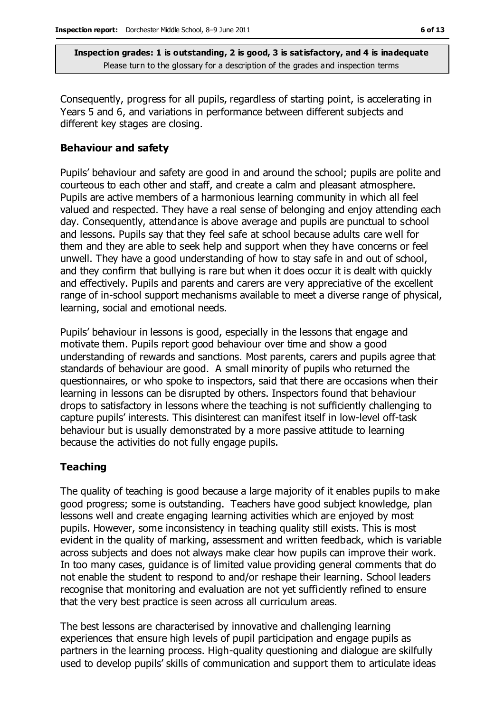Consequently, progress for all pupils, regardless of starting point, is accelerating in Years 5 and 6, and variations in performance between different subjects and different key stages are closing.

#### **Behaviour and safety**

Pupils' behaviour and safety are good in and around the school; pupils are polite and courteous to each other and staff, and create a calm and pleasant atmosphere. Pupils are active members of a harmonious learning community in which all feel valued and respected. They have a real sense of belonging and enjoy attending each day. Consequently, attendance is above average and pupils are punctual to school and lessons. Pupils say that they feel safe at school because adults care well for them and they are able to seek help and support when they have concerns or feel unwell. They have a good understanding of how to stay safe in and out of school, and they confirm that bullying is rare but when it does occur it is dealt with quickly and effectively. Pupils and parents and carers are very appreciative of the excellent range of in-school support mechanisms available to meet a diverse range of physical, learning, social and emotional needs.

Pupils' behaviour in lessons is good, especially in the lessons that engage and motivate them. Pupils report good behaviour over time and show a good understanding of rewards and sanctions. Most parents, carers and pupils agree that standards of behaviour are good. A small minority of pupils who returned the questionnaires, or who spoke to inspectors, said that there are occasions when their learning in lessons can be disrupted by others. Inspectors found that behaviour drops to satisfactory in lessons where the teaching is not sufficiently challenging to capture pupils' interests. This disinterest can manifest itself in low-level off-task behaviour but is usually demonstrated by a more passive attitude to learning because the activities do not fully engage pupils.

#### **Teaching**

The quality of teaching is good because a large majority of it enables pupils to make good progress; some is outstanding. Teachers have good subject knowledge, plan lessons well and create engaging learning activities which are enjoyed by most pupils. However, some inconsistency in teaching quality still exists. This is most evident in the quality of marking, assessment and written feedback, which is variable across subjects and does not always make clear how pupils can improve their work. In too many cases, guidance is of limited value providing general comments that do not enable the student to respond to and/or reshape their learning. School leaders recognise that monitoring and evaluation are not yet sufficiently refined to ensure that the very best practice is seen across all curriculum areas.

The best lessons are characterised by innovative and challenging learning experiences that ensure high levels of pupil participation and engage pupils as partners in the learning process. High-quality questioning and dialogue are skilfully used to develop pupils' skills of communication and support them to articulate ideas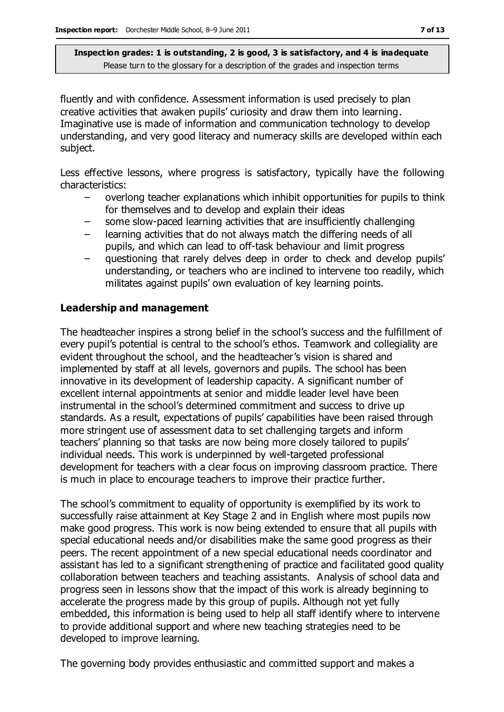fluently and with confidence. Assessment information is used precisely to plan creative activities that awaken pupils' curiosity and draw them into learning. Imaginative use is made of information and communication technology to develop understanding, and very good literacy and numeracy skills are developed within each subject.

Less effective lessons, where progress is satisfactory, typically have the following characteristics:

- overlong teacher explanations which inhibit opportunities for pupils to think for themselves and to develop and explain their ideas
- some slow-paced learning activities that are insufficiently challenging
- learning activities that do not always match the differing needs of all pupils, and which can lead to off-task behaviour and limit progress
- questioning that rarely delves deep in order to check and develop pupils' understanding, or teachers who are inclined to intervene too readily, which militates against pupils' own evaluation of key learning points.

#### **Leadership and management**

The headteacher inspires a strong belief in the school's success and the fulfillment of every pupil's potential is central to the school's ethos. Teamwork and collegiality are evident throughout the school, and the headteacher's vision is shared and implemented by staff at all levels, governors and pupils. The school has been innovative in its development of leadership capacity. A significant number of excellent internal appointments at senior and middle leader level have been instrumental in the school's determined commitment and success to drive up standards. As a result, expectations of pupils' capabilities have been raised through more stringent use of assessment data to set challenging targets and inform teachers' planning so that tasks are now being more closely tailored to pupils' individual needs. This work is underpinned by well-targeted professional development for teachers with a clear focus on improving classroom practice. There is much in place to encourage teachers to improve their practice further.

The school's commitment to equality of opportunity is exemplified by its work to successfully raise attainment at Key Stage 2 and in English where most pupils now make good progress. This work is now being extended to ensure that all pupils with special educational needs and/or disabilities make the same good progress as their peers. The recent appointment of a new special educational needs coordinator and assistant has led to a significant strengthening of practice and facilitated good quality collaboration between teachers and teaching assistants. Analysis of school data and progress seen in lessons show that the impact of this work is already beginning to accelerate the progress made by this group of pupils. Although not yet fully embedded, this information is being used to help all staff identify where to intervene to provide additional support and where new teaching strategies need to be developed to improve learning.

The governing body provides enthusiastic and committed support and makes a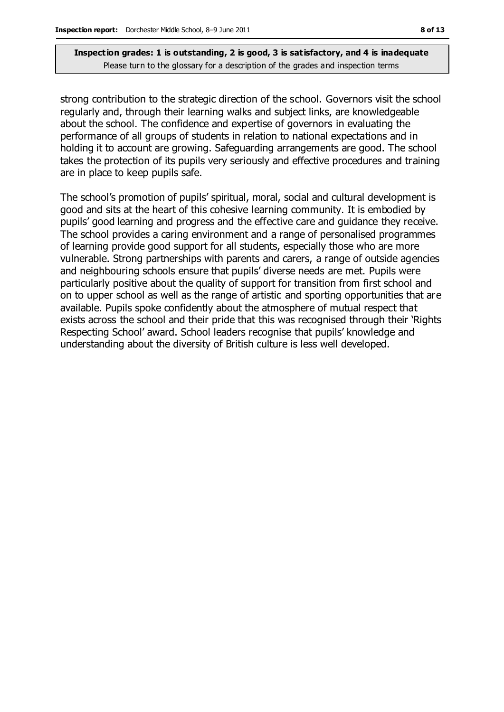strong contribution to the strategic direction of the school. Governors visit the school regularly and, through their learning walks and subject links, are knowledgeable about the school. The confidence and expertise of governors in evaluating the performance of all groups of students in relation to national expectations and in holding it to account are growing. Safeguarding arrangements are good. The school takes the protection of its pupils very seriously and effective procedures and training are in place to keep pupils safe.

The school's promotion of pupils' spiritual, moral, social and cultural development is good and sits at the heart of this cohesive learning community. It is embodied by pupils' good learning and progress and the effective care and guidance they receive. The school provides a caring environment and a range of personalised programmes of learning provide good support for all students, especially those who are more vulnerable. Strong partnerships with parents and carers, a range of outside agencies and neighbouring schools ensure that pupils' diverse needs are met. Pupils were particularly positive about the quality of support for transition from first school and on to upper school as well as the range of artistic and sporting opportunities that are available. Pupils spoke confidently about the atmosphere of mutual respect that exists across the school and their pride that this was recognised through their 'Rights Respecting School' award. School leaders recognise that pupils' knowledge and understanding about the diversity of British culture is less well developed.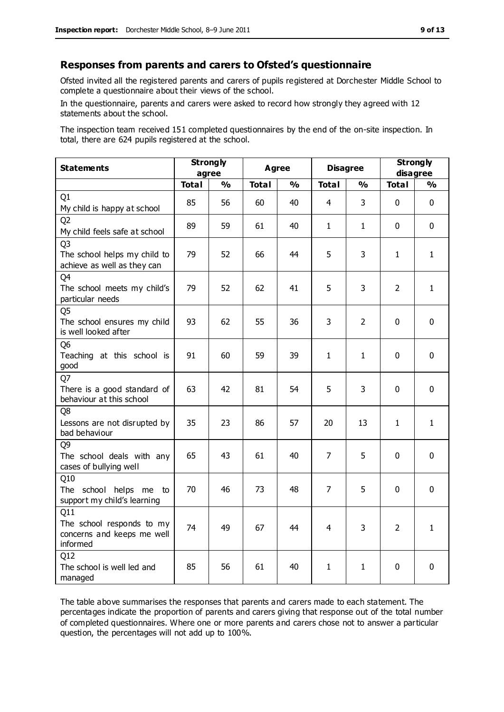#### **Responses from parents and carers to Ofsted's questionnaire**

Ofsted invited all the registered parents and carers of pupils registered at Dorchester Middle School to complete a questionnaire about their views of the school.

In the questionnaire, parents and carers were asked to record how strongly they agreed with 12 statements about the school.

The inspection team received 151 completed questionnaires by the end of the on-site inspection. In total, there are 624 pupils registered at the school.

| <b>Statements</b>                                                             | <b>Strongly</b><br>agree |               | <b>Agree</b> |               | <b>Disagree</b> |                | <b>Strongly</b><br>disagree |               |
|-------------------------------------------------------------------------------|--------------------------|---------------|--------------|---------------|-----------------|----------------|-----------------------------|---------------|
|                                                                               | <b>Total</b>             | $\frac{0}{0}$ | <b>Total</b> | $\frac{0}{0}$ | <b>Total</b>    | $\frac{1}{2}$  | <b>Total</b>                | $\frac{0}{0}$ |
| Q <sub>1</sub><br>My child is happy at school                                 | 85                       | 56            | 60           | 40            | $\overline{4}$  | 3              | $\mathbf 0$                 | $\mathbf 0$   |
| Q <sub>2</sub><br>My child feels safe at school                               | 89                       | 59            | 61           | 40            | $\mathbf{1}$    | $\mathbf{1}$   | $\mathbf{0}$                | $\mathbf 0$   |
| Q <sub>3</sub><br>The school helps my child to<br>achieve as well as they can | 79                       | 52            | 66           | 44            | 5               | 3              | 1                           | $\mathbf{1}$  |
| Q4<br>The school meets my child's<br>particular needs                         | 79                       | 52            | 62           | 41            | 5               | 3              | $\overline{2}$              | $\mathbf{1}$  |
| Q <sub>5</sub><br>The school ensures my child<br>is well looked after         | 93                       | 62            | 55           | 36            | 3               | $\overline{2}$ | $\Omega$                    | $\mathbf 0$   |
| Q <sub>6</sub><br>Teaching at this school is<br>good                          | 91                       | 60            | 59           | 39            | $\mathbf{1}$    | $\mathbf{1}$   | $\mathbf{0}$                | $\mathbf 0$   |
| Q7<br>There is a good standard of<br>behaviour at this school                 | 63                       | 42            | 81           | 54            | 5               | 3              | $\mathbf{0}$                | $\mathbf 0$   |
| Q8<br>Lessons are not disrupted by<br>bad behaviour                           | 35                       | 23            | 86           | 57            | 20              | 13             | $\mathbf 1$                 | $\mathbf{1}$  |
| Q <sub>9</sub><br>The school deals with any<br>cases of bullying well         | 65                       | 43            | 61           | 40            | 7               | 5              | $\mathbf{0}$                | $\mathbf 0$   |
| Q10<br>The school helps me to<br>support my child's learning                  | 70                       | 46            | 73           | 48            | 7               | 5              | $\mathbf{0}$                | $\mathbf 0$   |
| Q11<br>The school responds to my<br>concerns and keeps me well<br>informed    | 74                       | 49            | 67           | 44            | $\overline{4}$  | 3              | $\overline{2}$              | $\mathbf{1}$  |
| Q12<br>The school is well led and<br>managed                                  | 85                       | 56            | 61           | 40            | $\mathbf{1}$    | $\mathbf{1}$   | 0                           | $\mathbf 0$   |

The table above summarises the responses that parents and carers made to each statement. The percentages indicate the proportion of parents and carers giving that response out of the total number of completed questionnaires. Where one or more parents and carers chose not to answer a particular question, the percentages will not add up to 100%.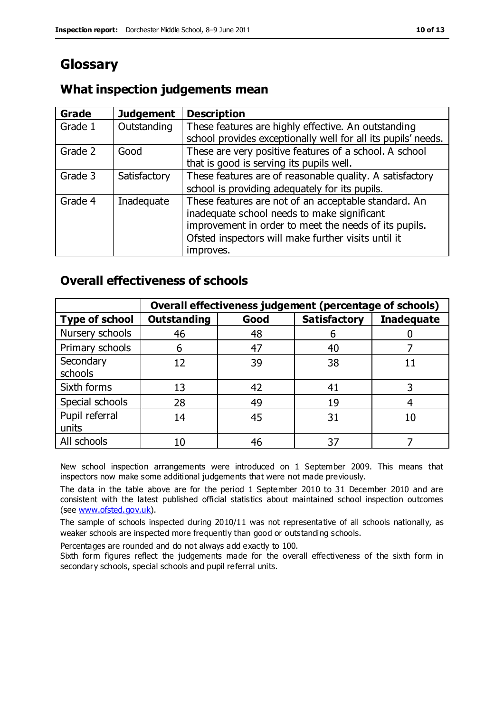# **Glossary**

## **What inspection judgements mean**

| <b>Grade</b> | <b>Judgement</b> | <b>Description</b>                                            |
|--------------|------------------|---------------------------------------------------------------|
| Grade 1      | Outstanding      | These features are highly effective. An outstanding           |
|              |                  | school provides exceptionally well for all its pupils' needs. |
| Grade 2      | Good             | These are very positive features of a school. A school        |
|              |                  | that is good is serving its pupils well.                      |
| Grade 3      | Satisfactory     | These features are of reasonable quality. A satisfactory      |
|              |                  | school is providing adequately for its pupils.                |
| Grade 4      | Inadequate       | These features are not of an acceptable standard. An          |
|              |                  | inadequate school needs to make significant                   |
|              |                  | improvement in order to meet the needs of its pupils.         |
|              |                  | Ofsted inspectors will make further visits until it           |
|              |                  | improves.                                                     |

## **Overall effectiveness of schools**

|                         | Overall effectiveness judgement (percentage of schools) |      |                     |                   |
|-------------------------|---------------------------------------------------------|------|---------------------|-------------------|
| <b>Type of school</b>   | <b>Outstanding</b>                                      | Good | <b>Satisfactory</b> | <b>Inadequate</b> |
| Nursery schools         | 46                                                      | 48   | 6                   |                   |
| Primary schools         | 6                                                       | 47   | 40                  |                   |
| Secondary<br>schools    | 12                                                      | 39   | 38                  |                   |
| Sixth forms             | 13                                                      | 42   | 41                  |                   |
| Special schools         | 28                                                      | 49   | 19                  |                   |
| Pupil referral<br>units | 14                                                      | 45   | 31                  |                   |
| All schools             | 10                                                      | 46   | 37                  |                   |

New school inspection arrangements were introduced on 1 September 2009. This means that inspectors now make some additional judgements that were not made previously.

The data in the table above are for the period 1 September 2010 to 31 December 2010 and are consistent with the latest published official statistics about maintained school inspection outcomes (see [www.ofsted.gov.uk\)](http://www.ofsted.gov.uk/).

The sample of schools inspected during 2010/11 was not representative of all schools nationally, as weaker schools are inspected more frequently than good or outstanding schools.

Percentages are rounded and do not always add exactly to 100.

Sixth form figures reflect the judgements made for the overall effectiveness of the sixth form in secondary schools, special schools and pupil referral units.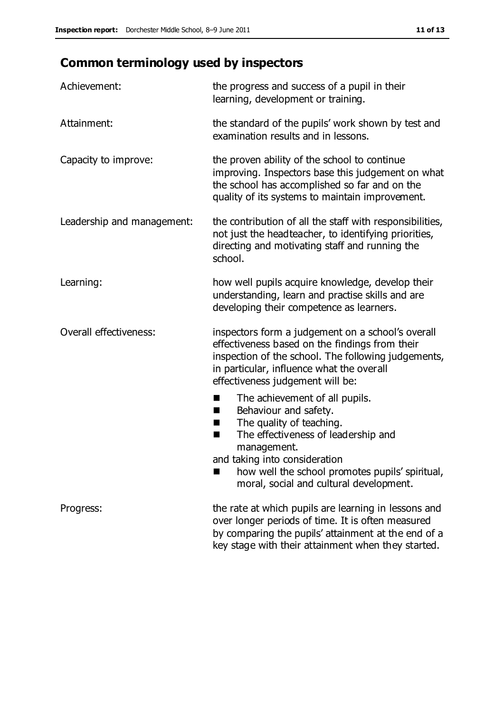# **Common terminology used by inspectors**

| Achievement:               | the progress and success of a pupil in their<br>learning, development or training.                                                                                                                                                          |
|----------------------------|---------------------------------------------------------------------------------------------------------------------------------------------------------------------------------------------------------------------------------------------|
| Attainment:                | the standard of the pupils' work shown by test and<br>examination results and in lessons.                                                                                                                                                   |
| Capacity to improve:       | the proven ability of the school to continue<br>improving. Inspectors base this judgement on what<br>the school has accomplished so far and on the<br>quality of its systems to maintain improvement.                                       |
| Leadership and management: | the contribution of all the staff with responsibilities,<br>not just the headteacher, to identifying priorities,<br>directing and motivating staff and running the<br>school.                                                               |
| Learning:                  | how well pupils acquire knowledge, develop their<br>understanding, learn and practise skills and are<br>developing their competence as learners.                                                                                            |
| Overall effectiveness:     | inspectors form a judgement on a school's overall<br>effectiveness based on the findings from their<br>inspection of the school. The following judgements,<br>in particular, influence what the overall<br>effectiveness judgement will be: |
|                            | The achievement of all pupils.<br>E<br>Behaviour and safety.<br>ш<br>The quality of teaching.<br>H<br>The effectiveness of leadership and<br>п<br>management.<br>and taking into consideration                                              |
|                            | how well the school promotes pupils' spiritual,<br>moral, social and cultural development.                                                                                                                                                  |
| Progress:                  | the rate at which pupils are learning in lessons and<br>over longer periods of time. It is often measured<br>by comparing the pupils' attainment at the end of a                                                                            |

key stage with their attainment when they started.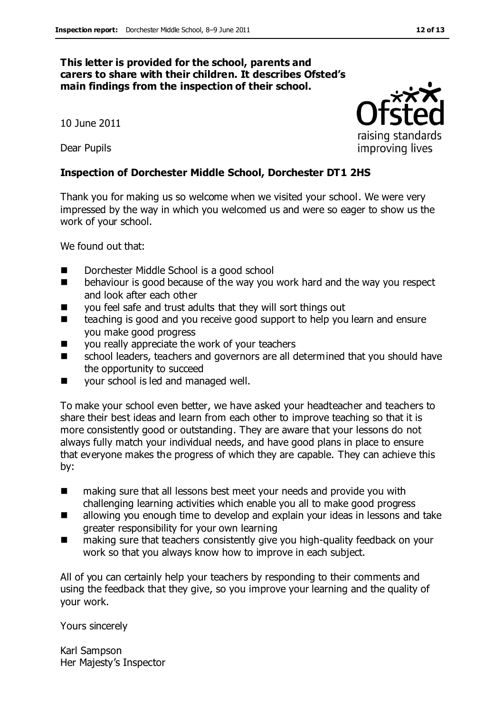#### **This letter is provided for the school, parents and carers to share with their children. It describes Ofsted's main findings from the inspection of their school.**

10 June 2011

Dear Pupils

#### **Inspection of Dorchester Middle School, Dorchester DT1 2HS**

Thank you for making us so welcome when we visited your school. We were very impressed by the way in which you welcomed us and were so eager to show us the work of your school.

We found out that:

- Dorchester Middle School is a good school
- **EXTERGHAVIOUR** behaviour is good because of the way you work hard and the way you respect and look after each other
- you feel safe and trust adults that they will sort things out
- teaching is good and you receive good support to help you learn and ensure you make good progress
- you really appreciate the work of your teachers
- school leaders, teachers and governors are all determined that you should have the opportunity to succeed
- your school is led and managed well.

To make your school even better, we have asked your headteacher and teachers to share their best ideas and learn from each other to improve teaching so that it is more consistently good or outstanding. They are aware that your lessons do not always fully match your individual needs, and have good plans in place to ensure that everyone makes the progress of which they are capable. They can achieve this by:

- making sure that all lessons best meet your needs and provide you with challenging learning activities which enable you all to make good progress
- allowing you enough time to develop and explain your ideas in lessons and take greater responsibility for your own learning
- making sure that teachers consistently give you high-quality feedback on your work so that you always know how to improve in each subject.

All of you can certainly help your teachers by responding to their comments and using the feedback that they give, so you improve your learning and the quality of your work.

Yours sincerely

Karl Sampson Her Majesty's Inspector